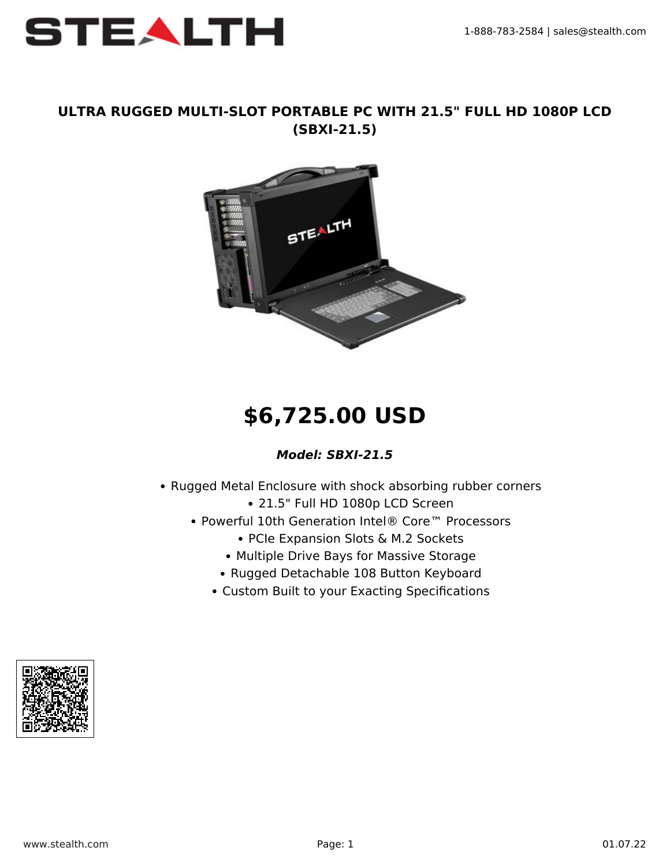

### **ULTRA RUGGED MULTI-SLOT PORTABLE PC WITH 21.5" FULL HD 1080P LCD (SBXI-21.5)**



# **\$6,725.00 USD**

#### *Model: SBXI-21.5*

- Rugged Metal Enclosure with shock absorbing rubber corners 21.5" Full HD 1080p LCD Screen
	- Powerful 10th Generation Intel® Core™ Processors
		- PCIe Expansion Slots & M.2 Sockets
		- Multiple Drive Bays for Massive Storage
		- Rugged Detachable 108 Button Keyboard
		- Custom Built to your Exacting Specifications

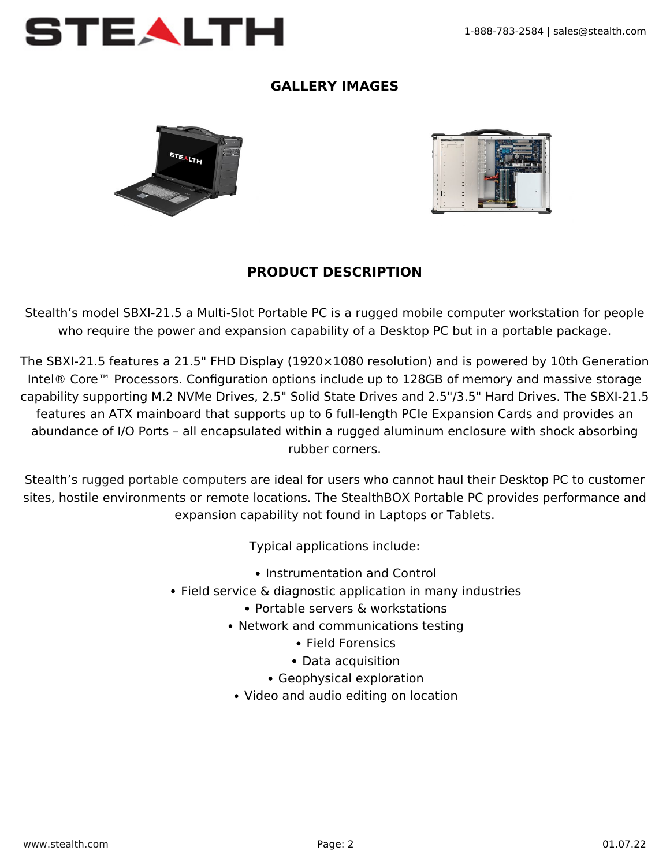

# **GALLERY IMAGES**





## **PRODUCT DESCRIPTION**

Stealth's model SBXI-21.5 a Multi-Slot Portable PC is a rugged mobile computer workstation for people who require the power and expansion capability of a Desktop PC but in a portable package.

The SBXI-21.5 features a 21.5" FHD Display (1920×1080 resolution) and is powered by 10th Generation Intel® Core™ Processors. Configuration options include up to 128GB of memory and massive storage capability supporting M.2 NVMe Drives, 2.5" Solid State Drives and 2.5"/3.5" Hard Drives. The SBXI-21.5 features an ATX mainboard that supports up to 6 full-length PCIe Expansion Cards and provides an abundance of I/O Ports – all encapsulated within a rugged aluminum enclosure with shock absorbing rubber corners.

Stealth's [rugged portable computers](https://www.stealth.com/ruggedportables/) are ideal for users who cannot haul their Desktop PC to customer sites, hostile environments or remote locations. The StealthBOX Portable PC provides performance and expansion capability not found in Laptops or Tablets.

Typical applications include:

- Instrumentation and Control
- Field service & diagnostic application in many industries
	- Portable servers & workstations
	- Network and communications testing
		- Field Forensics
		- Data acquisition
		- Geophysical exploration
	- Video and audio editing on location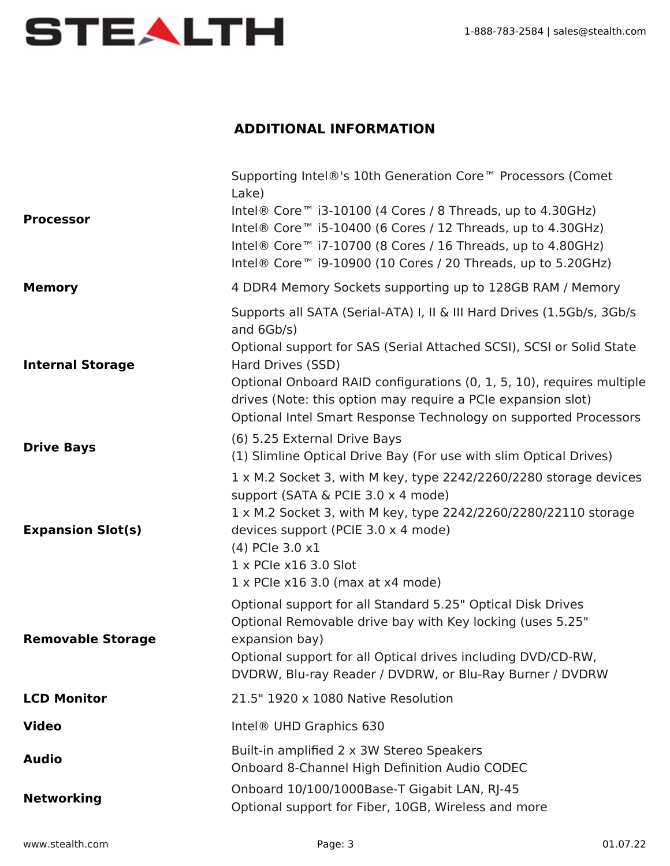

## **ADDITIONAL INFORMATION**

|                          | Supporting Intel®'s 10th Generation Core <sup>™</sup> Processors (Comet<br>Lake)                                                                                                                                                                                                                                                                                                               |
|--------------------------|------------------------------------------------------------------------------------------------------------------------------------------------------------------------------------------------------------------------------------------------------------------------------------------------------------------------------------------------------------------------------------------------|
| <b>Processor</b>         | Intel® Core <sup>™</sup> i3-10100 (4 Cores / 8 Threads, up to 4.30GHz)<br>Intel® Core <sup>™</sup> i5-10400 (6 Cores / 12 Threads, up to 4.30GHz)<br>Intel® Core <sup>™</sup> i7-10700 (8 Cores / 16 Threads, up to 4.80GHz)<br>Intel® Core™ i9-10900 (10 Cores / 20 Threads, up to 5.20GHz)                                                                                                   |
| <b>Memory</b>            | 4 DDR4 Memory Sockets supporting up to 128GB RAM / Memory                                                                                                                                                                                                                                                                                                                                      |
| <b>Internal Storage</b>  | Supports all SATA (Serial-ATA) I, II & III Hard Drives (1.5Gb/s, 3Gb/s<br>and 6Gb/s)<br>Optional support for SAS (Serial Attached SCSI), SCSI or Solid State<br>Hard Drives (SSD)<br>Optional Onboard RAID configurations (0, 1, 5, 10), requires multiple<br>drives (Note: this option may require a PCIe expansion slot)<br>Optional Intel Smart Response Technology on supported Processors |
| <b>Drive Bays</b>        | (6) 5.25 External Drive Bays<br>(1) Slimline Optical Drive Bay (For use with slim Optical Drives)                                                                                                                                                                                                                                                                                              |
| <b>Expansion Slot(s)</b> | 1 x M.2 Socket 3, with M key, type 2242/2260/2280 storage devices<br>support (SATA & PCIE 3.0 x 4 mode)<br>1 x M.2 Socket 3, with M key, type 2242/2260/2280/22110 storage<br>devices support (PCIE 3.0 x 4 mode)<br>(4) PCIe 3.0 x1<br>1 x PCIe x16 3.0 Slot<br>$1 \times$ PCIe x16 3.0 (max at x4 mode)                                                                                      |
| <b>Removable Storage</b> | Optional support for all Standard 5.25" Optical Disk Drives<br>Optional Removable drive bay with Key locking (uses 5.25"<br>expansion bay)<br>Optional support for all Optical drives including DVD/CD-RW,<br>DVDRW, Blu-ray Reader / DVDRW, or Blu-Ray Burner / DVDRW                                                                                                                         |
| <b>LCD Monitor</b>       | 21.5" 1920 x 1080 Native Resolution                                                                                                                                                                                                                                                                                                                                                            |
| <b>Video</b>             | Intel <sup>®</sup> UHD Graphics 630                                                                                                                                                                                                                                                                                                                                                            |
| <b>Audio</b>             | Built-in amplified 2 x 3W Stereo Speakers<br>Onboard 8-Channel High Definition Audio CODEC                                                                                                                                                                                                                                                                                                     |
| <b>Networking</b>        | Onboard 10/100/1000Base-T Gigabit LAN, RJ-45<br>Optional support for Fiber, 10GB, Wireless and more                                                                                                                                                                                                                                                                                            |